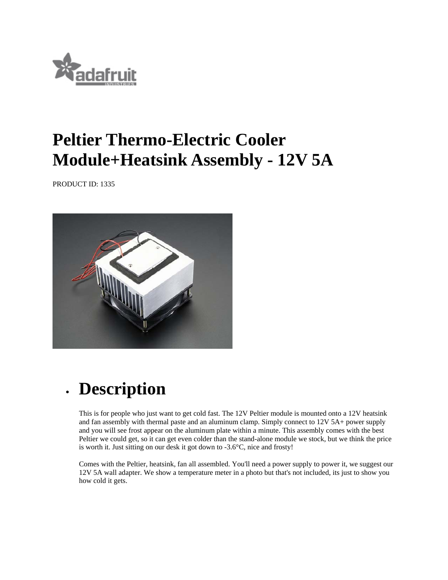

## **Peltier Thermo-Electric Cooler Module+Heatsink Assembly - 12V 5A**

PRODUCT ID: 1335



## **Description**

This is for people who just want to get cold fast. The 12V Peltier module is mounted onto a 12V heatsink and fan assembly with thermal paste and an aluminum clamp. Simply connect to 12V 5A+ power supply and you will see frost appear on the aluminum plate within a minute. This assembly comes with the best Peltier we could get, so it can get even colder than the stand-alone module we stock, but we think the price is worth it. Just sitting on our desk it got down to -3.6°C, nice and frosty!

Comes with the Peltier, heatsink, fan all assembled. You'll need a power supply to power it, we suggest our 12V 5A wall adapter. We show a temperature meter in a photo but that's not included, its just to show you how cold it gets.